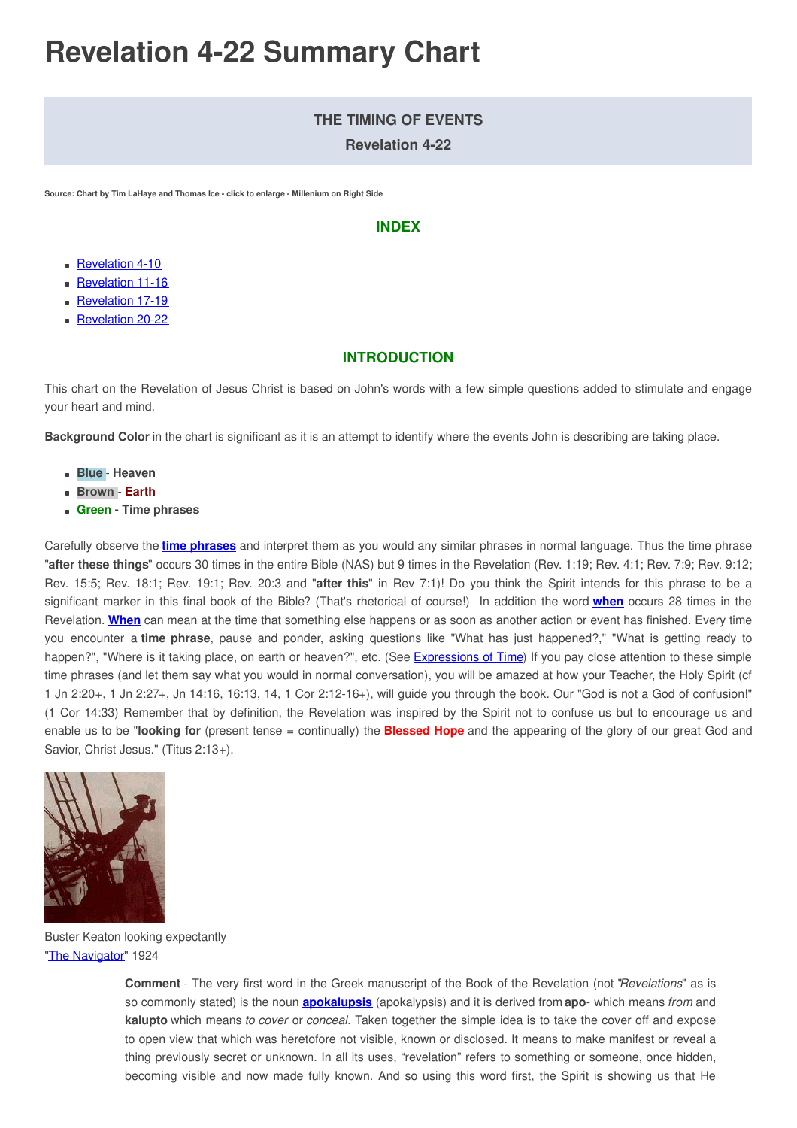# **Revelation 4-22 Summary Chart**

# **THE TIMING OF EVENTS**

**Revelation 4-22**

**Source: Chart by Tim LaHaye and Thomas Ice - click to enlarge - Millenium on Right Side**

#### **INDEX**

- **[Revelation](#page-1-0) 4-10**
- **[Revelation](#page-3-0) 11-16**
- **[Revelation](#page-6-0) 17-19**
- **[Revelation](#page-8-0) 20-22**

# **INTRODUCTION**

This chart on the Revelation of Jesus Christ is based on John's words with a few simple questions added to stimulate and engage your heart and mind.

**Background Color** in the chart is significant as it is an attempt to identify where the events John is describing are taking place.

- **Blue Heaven**
- **Brown Earth**
- **Green - Time phrases**

Carefully observe the **time [phrases](https://www.preceptaustin.org/observation#time)** and interpret them as you would any similar phrases in normal language. Thus the time phrase "**after these things**" occurs 30 times in the entire Bible (NAS) but 9 times in the Revelation (Rev. 1:19; Rev. 4:1; Rev. 7:9; Rev. 9:12; Rev. 15:5; Rev. 18:1; Rev. 19:1; Rev. 20:3 and "**after this**" in Rev 7:1)! Do you think the Spirit intends for this phrase to be a significant marker in this final book of the Bible? (That's rhetorical of course!) In addition the word **[when](https://www.thefreedictionary.com/when)** occurs 28 times in the Revelation. **[When](https://www.thefreedictionary.com/when)** can mean at the time that something else happens or as soon as another action or event has finished. Every time you encounter a **time phrase**, pause and ponder, asking questions like "What has just happened?," "What is getting ready to happen?", "Where is it taking place, on earth or heaven?", etc. (See [Expressions](https://www.preceptaustin.org/observation#time) of Time) If you pay close attention to these simple time phrases (and let them say what you would in normal conversation), you will be amazed at how your Teacher, the Holy Spirit (cf 1 Jn 2:20+, 1 Jn 2:27+, Jn 14:16, 16:13, 14, 1 Cor 2:12-16+), will guide you through the book. Our "God is not a God of confusion!" (1 Cor 14:33) Remember that by definition, the Revelation was inspired by the Spirit not to confuse us but to encourage us and enable us to be "**looking for** (present tense = continually) the **Blessed Hope** and the appearing of the glory of our great God and Savior, Christ Jesus." (Titus 2:13+).



Buster Keaton looking expectantly "The [Navigator](https://en.wikipedia.org/wiki/The_Navigator_(1924_film))" 1924

> **Comment** - The very first word in the Greek manuscript of the Book of the Revelation (not "*Revelations*" as is so commonly stated) is the noun **[apokalupsis](https://www.preceptaustin.org/1_peter_17#revelation)** (apokalypsis) and it is derived from **apo**- which means *from* and **kalupto** which means *to cover* or *conceal*. Taken together the simple idea is to take the cover off and expose to open view that which was heretofore not visible, known or disclosed. It means to make manifest or reveal a thing previously secret or unknown. In all its uses, "revelation" refers to something or someone, once hidden, becoming visible and now made fully known. And so using this word first, the Spirit is showing us that He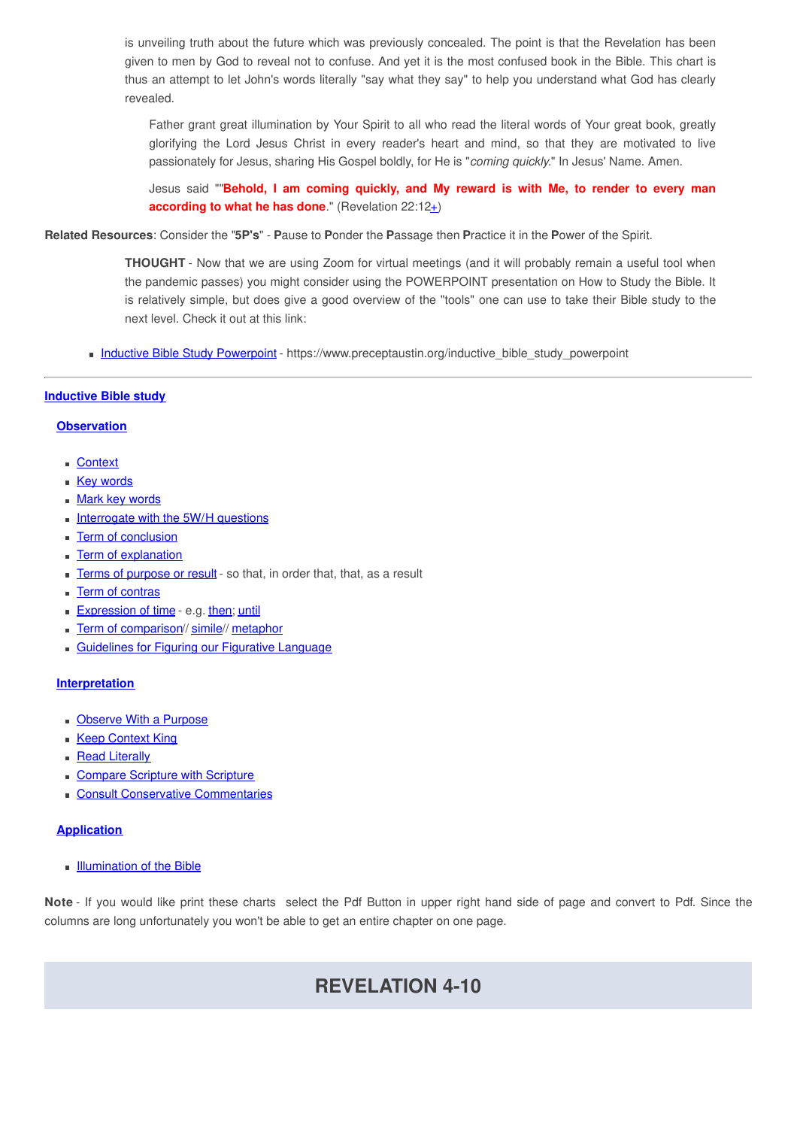is unveiling truth about the future which was previously concealed. The point is that the Revelation has been given to men by God to reveal not to confuse. And yet it is the most confused book in the Bible. This chart is thus an attempt to let John's words literally "say what they say" to help you understand what God has clearly revealed.

Father grant great illumination by Your Spirit to all who read the literal words of Your great book, greatly glorifying the Lord Jesus Christ in every reader's heart and mind, so that they are motivated to live passionately for Jesus, sharing His Gospel boldly, for He is "*coming quickly.*" In Jesus' Name. Amen.

Jesus said ""**Behold, I am coming quickly, and My reward is with Me, to render to every man according to what he has done**." (Revelation 22:1[2+](http://www.spiritandtruth.org/id/revc.htm?22:12))

**Related Resources**: Consider the "**5P's**" - **P**ause to **P**onder the **P**assage then **P**ractice it in the **P**ower of the Spirit.

**THOUGHT** - Now that we are using Zoom for virtual meetings (and it will probably remain a useful tool when the pandemic passes) you might consider using the POWERPOINT presentation on How to Study the Bible. It is relatively simple, but does give a good overview of the "tools" one can use to take their Bible study to the next level. Check it out at this link:

• Inductive Bible Study [Powerpoint](https://www.preceptaustin.org/inductive_bible_study_powerpoint) - https://www.preceptaustin.org/inductive\_bible\_study\_powerpoint

#### **[Inductive](https://www.preceptaustin.org/inductive_bible_study) Bible study**

#### **[Observation](https://www.preceptaustin.org/observation)**

- [Context](https://www.preceptaustin.org/observation#etc)
- **Key [words](https://www.preceptaustin.org/observation#ikw)**
- **Mark key [words](https://www.preceptaustin.org/observation#mtt)**
- [Interrogate](https://www.preceptaustin.org/observation#in) with the 5W/H questions
- **Term of [conclusion](https://www.preceptaustin.org/observation#tconclusion)**
- **Term of [explanation](https://www.preceptaustin.org/observation#te)**
- **Terms of [purpose](https://www.preceptaustin.org/observation#tp) or result** so that, in order that, that, as a result
- **Term of [contras](https://www.preceptaustin.org/observation#tc)**
- **[Expression](https://www.preceptaustin.org/observation#time) of time e.g. [then](http://www.preceptaustin.org/observation#then); [until](https://www.preceptaustin.org/observation#until)**
- Term of [comparison](https://www.preceptaustin.org/observation#tcomparison)// [simile](https://www.preceptaustin.org/observation#s)// [metaphor](https://www.preceptaustin.org/observation#m)
- [Guidelines](https://www.preceptaustin.org/observation#g) for Figuring our Figurative Language

#### **[Interpretation](https://www.preceptaustin.org/the_key_inductive_study_pt2)**

- **[Observe](https://www.preceptaustin.org/the_key_inductive_study_pt2#observe) With a Purpose**
- **Keep [Context](https://www.preceptaustin.org/the_key_inductive_study_pt2#context) King**
- **Read [Literally](https://www.preceptaustin.org/the_key_inductive_study_pt2#literal)**
- **[Compare](https://www.preceptaustin.org/the_key_inductive_study_pt2#comparescripture) Scripture with Scripture**
- Consult Conservative [Commentaries](https://www.preceptaustin.org/the_key_inductive_study_pt2#consult)

#### **[Application](https://www.preceptaustin.org/the_key_inductive_study_pt3)**

**[Illumination](https://www.preceptaustin.org/illumination_of_the_bible) of the Bible** 

<span id="page-1-0"></span>**Note** - If you would like print these charts select the Pdf Button in upper right hand side of page and convert to Pdf. Since the columns are long unfortunately you won't be able to get an entire chapter on one page.

# **REVELATION 4-10**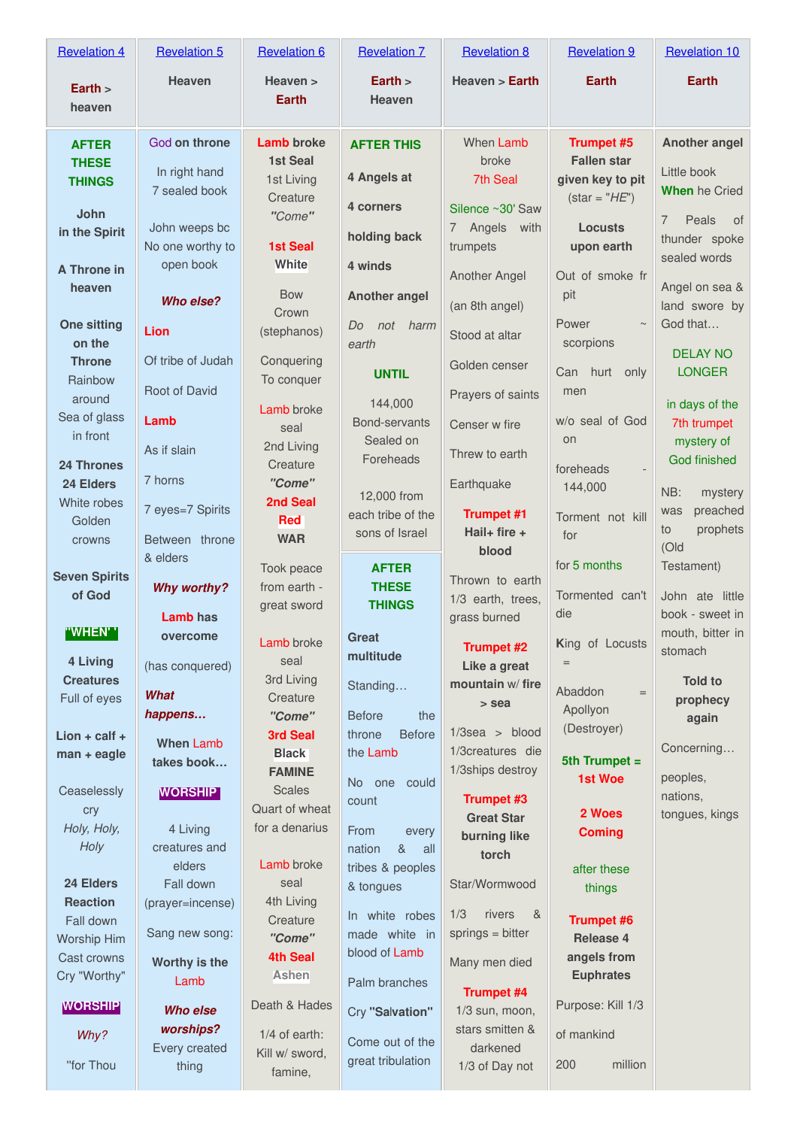| <b>Revelation 4</b>                                                                                                                                                                                                                                                             | <b>Revelation 5</b>                                                                                                                                                                                                                                                             | <b>Revelation 6</b>                                                                                                                                                                                                                                                                                             | <b>Revelation 7</b>                                                                                                                                                                                                                                                                                                                   | <b>Revelation 8</b>                                                                                                                                                                                                                                                                                                                                            | <b>Revelation 9</b>                                                                                                                                                                                                                                                      | <b>Revelation 10</b>                                                                                                                                                                                                                                                                                     |
|---------------------------------------------------------------------------------------------------------------------------------------------------------------------------------------------------------------------------------------------------------------------------------|---------------------------------------------------------------------------------------------------------------------------------------------------------------------------------------------------------------------------------------------------------------------------------|-----------------------------------------------------------------------------------------------------------------------------------------------------------------------------------------------------------------------------------------------------------------------------------------------------------------|---------------------------------------------------------------------------------------------------------------------------------------------------------------------------------------------------------------------------------------------------------------------------------------------------------------------------------------|----------------------------------------------------------------------------------------------------------------------------------------------------------------------------------------------------------------------------------------------------------------------------------------------------------------------------------------------------------------|--------------------------------------------------------------------------------------------------------------------------------------------------------------------------------------------------------------------------------------------------------------------------|----------------------------------------------------------------------------------------------------------------------------------------------------------------------------------------------------------------------------------------------------------------------------------------------------------|
| Earth $>$<br>heaven                                                                                                                                                                                                                                                             | <b>Heaven</b>                                                                                                                                                                                                                                                                   | Heaven ><br><b>Earth</b>                                                                                                                                                                                                                                                                                        | Earth $>$<br><b>Heaven</b>                                                                                                                                                                                                                                                                                                            | Heaven > Earth                                                                                                                                                                                                                                                                                                                                                 | <b>Earth</b>                                                                                                                                                                                                                                                             | <b>Earth</b>                                                                                                                                                                                                                                                                                             |
| <b>AFTER</b><br><b>THESE</b><br><b>THINGS</b><br>John<br>in the Spirit<br>A Throne in<br>heaven<br><b>One sitting</b><br>on the<br><b>Throne</b><br>Rainbow<br>around<br>Sea of glass<br>in front<br><b>24 Thrones</b><br>24 Elders                                             | God on throne<br>In right hand<br>7 sealed book<br>John weeps bc<br>No one worthy to<br>open book<br>Who else?<br>Lion<br>Of tribe of Judah<br>Root of David<br>Lamb<br>As if slain<br>7 horns                                                                                  | <b>Lamb</b> broke<br><b>1st Seal</b><br>1st Living<br>Creature<br>"Come"<br><b>1st Seal</b><br>White<br><b>Bow</b><br>Crown<br>(stephanos)<br>Conquering<br>To conquer<br>Lamb broke<br>seal<br>2nd Living<br>Creature<br>"Come"                                                                                | <b>AFTER THIS</b><br>4 Angels at<br>4 corners<br>holding back<br>4 winds<br><b>Another angel</b><br>Do<br>not<br>harm<br>earth<br><b>UNTIL</b><br>144,000<br>Bond-servants<br>Sealed on<br>Foreheads<br>12,000 from                                                                                                                   | When Lamb<br>broke<br>7th Seal<br>Silence ~30' Saw<br>7 Angels<br>with<br>trumpets<br>Another Angel<br>(an 8th angel)<br>Stood at altar<br>Golden censer<br>Prayers of saints<br>Censer w fire<br>Threw to earth<br>Earthquake                                                                                                                                 | <b>Trumpet #5</b><br><b>Fallen star</b><br>given key to pit<br>$\: = "HE")$<br><b>Locusts</b><br>upon earth<br>Out of smoke fr<br>pit<br>Power<br>$\sim$<br>scorpions<br>Can hurt only<br>men<br>w/o seal of God<br>on<br>foreheads<br>144,000                           | <b>Another angel</b><br>Little book<br><b>When</b> he Cried<br>Peals<br>of<br>$\overline{7}$<br>thunder spoke<br>sealed words<br>Angel on sea &<br>land swore by<br>God that<br><b>DELAY NO</b><br><b>LONGER</b><br>in days of the<br>7th trumpet<br>mystery of<br><b>God finished</b><br>NB:<br>mystery |
| White robes<br>Golden<br>crowns                                                                                                                                                                                                                                                 | 7 eyes=7 Spirits<br>Between throne                                                                                                                                                                                                                                              | 2nd Seal<br><b>Red</b><br><b>WAR</b>                                                                                                                                                                                                                                                                            | each tribe of the<br>sons of Israel                                                                                                                                                                                                                                                                                                   | <b>Trumpet #1</b><br>Hail+ fire $+$                                                                                                                                                                                                                                                                                                                            | Torment not kill<br>for                                                                                                                                                                                                                                                  | preached<br>was<br>prophets<br>to<br>(Old                                                                                                                                                                                                                                                                |
| <b>Seven Spirits</b><br>of God                                                                                                                                                                                                                                                  | & elders<br><b>Why worthy?</b><br>Lamb has                                                                                                                                                                                                                                      | Took peace<br>from earth -<br>great sword                                                                                                                                                                                                                                                                       | <b>AFTER</b><br><b>THESE</b><br><b>THINGS</b>                                                                                                                                                                                                                                                                                         | blood<br>Thrown to earth<br>1/3 earth, trees,<br>grass burned                                                                                                                                                                                                                                                                                                  | for 5 months<br>Tormented can't<br>die                                                                                                                                                                                                                                   | Testament)<br>John ate little<br>book - sweet in                                                                                                                                                                                                                                                         |
| "WHEN''<br>4 Living<br><b>Creatures</b><br>Full of eyes<br>$Lion + calf +$<br>man + eagle<br>Ceaselessly<br>cry<br>Holy, Holy,<br>Holy<br>24 Elders<br><b>Reaction</b><br>Fall down<br><b>Worship Him</b><br>Cast crowns<br>Cry "Worthy"<br><b>WORSHIP</b><br>Why?<br>"for Thou | overcome<br>(has conquered)<br>What<br>happens<br><b>When Lamb</b><br>takes book<br><b>WORSHIP</b><br>4 Living<br>creatures and<br>elders<br>Fall down<br>(prayer=incense)<br>Sang new song:<br>Worthy is the<br>Lamb<br><b>Who else</b><br>worships?<br>Every created<br>thing | Lamb broke<br>seal<br>3rd Living<br>Creature<br>"Come"<br>3rd Seal<br><b>Black</b><br><b>FAMINE</b><br><b>Scales</b><br>Quart of wheat<br>for a denarius<br>Lamb broke<br>seal<br>4th Living<br>Creature<br>"Come"<br><b>4th Seal</b><br>Ashen<br>Death & Hades<br>$1/4$ of earth:<br>Kill w/ sword,<br>famine, | <b>Great</b><br>multitude<br>Standing<br><b>Before</b><br>the<br><b>Before</b><br>throne<br>the Lamb<br>No one could<br>count<br>From<br>every<br>&<br>nation<br>all<br>tribes & peoples<br>& tongues<br>In white robes<br>made white in<br>blood of Lamb<br>Palm branches<br>Cry "Salvation"<br>Come out of the<br>great tribulation | <b>Trumpet #2</b><br>Like a great<br>mountain w/fire<br>> sea<br>$1/3$ sea > blood<br>1/3creatures die<br>1/3ships destroy<br>Trumpet #3<br><b>Great Star</b><br>burning like<br>torch<br>Star/Wormwood<br>1/3<br>rivers<br>&<br>$springs = bitter$<br>Many men died<br><b>Trumpet #4</b><br>$1/3$ sun, moon,<br>stars smitten &<br>darkened<br>1/3 of Day not | King of Locusts<br>Abaddon<br>$=$<br>Apollyon<br>(Destroyer)<br>5th Trumpet $=$<br>1st Woe<br>2 Woes<br><b>Coming</b><br>after these<br>things<br><b>Trumpet #6</b><br>Release 4<br>angels from<br><b>Euphrates</b><br>Purpose: Kill 1/3<br>of mankind<br>million<br>200 | mouth, bitter in<br>stomach<br><b>Told to</b><br>prophecy<br>again<br>Concerning<br>peoples,<br>nations,<br>tongues, kings                                                                                                                                                                               |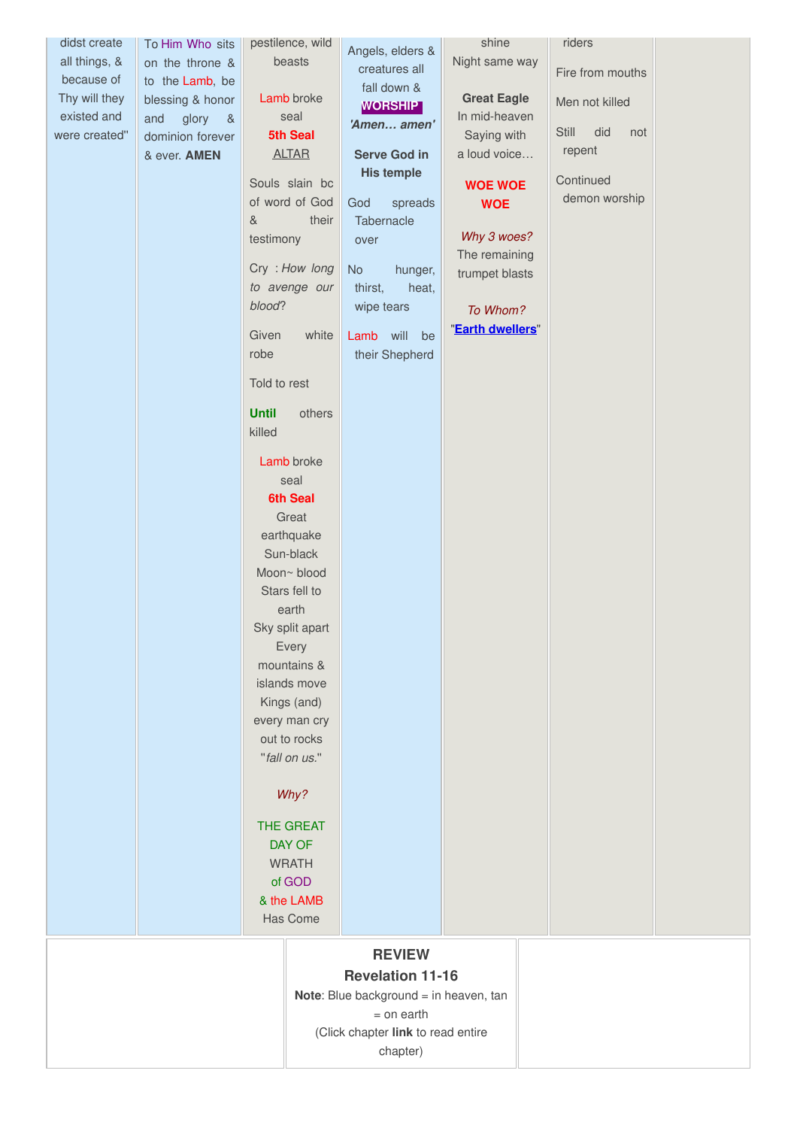| didst create  | To Him Who sits      | pestilence, wild                 | Angels, elders &                       | shine              | riders              |  |
|---------------|----------------------|----------------------------------|----------------------------------------|--------------------|---------------------|--|
| all things, & | on the throne &      | beasts                           | creatures all                          | Night same way     |                     |  |
| because of    | to the Lamb, be      |                                  | fall down &                            |                    | Fire from mouths    |  |
| Thy will they | blessing & honor     | Lamb broke                       | <b>WORSHIP</b>                         | <b>Great Eagle</b> | Men not killed      |  |
| existed and   | and<br>glory<br>$\&$ | seal                             | 'Amen amen'                            | In mid-heaven      |                     |  |
| were created" | dominion forever     | 5th Seal                         |                                        | Saying with        | did<br>Still<br>not |  |
|               | & ever. AMEN         | <b>ALTAR</b>                     | <b>Serve God in</b>                    | a loud voice       | repent              |  |
|               |                      | Souls slain bc                   | <b>His temple</b>                      |                    | Continued           |  |
|               |                      | of word of God                   |                                        | <b>WOE WOE</b>     | demon worship       |  |
|               |                      | &<br>their                       | spreads<br>God<br>Tabernacle           | <b>WOE</b>         |                     |  |
|               |                      | testimony                        | over                                   | Why 3 woes?        |                     |  |
|               |                      |                                  |                                        | The remaining      |                     |  |
|               |                      | Cry: How long                    | No<br>hunger,                          | trumpet blasts     |                     |  |
|               |                      | to avenge our                    | thirst,<br>heat,                       |                    |                     |  |
|               |                      | blood?                           | wipe tears                             | To Whom?           |                     |  |
|               |                      |                                  |                                        | "Earth dwellers"   |                     |  |
|               |                      | Given<br>white<br>robe           | Lamb will<br>be                        |                    |                     |  |
|               |                      |                                  | their Shepherd                         |                    |                     |  |
|               |                      | Told to rest                     |                                        |                    |                     |  |
|               |                      | <b>Until</b><br>others<br>killed |                                        |                    |                     |  |
|               |                      | Lamb broke                       |                                        |                    |                     |  |
|               |                      | seal                             |                                        |                    |                     |  |
|               |                      | <b>6th Seal</b>                  |                                        |                    |                     |  |
|               |                      | Great                            |                                        |                    |                     |  |
|               |                      | earthquake                       |                                        |                    |                     |  |
|               |                      | Sun-black                        |                                        |                    |                     |  |
|               |                      | Moon~ blood                      |                                        |                    |                     |  |
|               |                      | Stars fell to                    |                                        |                    |                     |  |
|               |                      | earth                            |                                        |                    |                     |  |
|               |                      | Sky split apart                  |                                        |                    |                     |  |
|               |                      | Every                            |                                        |                    |                     |  |
|               |                      | mountains &                      |                                        |                    |                     |  |
|               |                      | islands move                     |                                        |                    |                     |  |
|               |                      | Kings (and)                      |                                        |                    |                     |  |
|               |                      | every man cry                    |                                        |                    |                     |  |
|               |                      | out to rocks                     |                                        |                    |                     |  |
|               |                      | "fall on us."                    |                                        |                    |                     |  |
|               |                      | Why?                             |                                        |                    |                     |  |
|               |                      | THE GREAT                        |                                        |                    |                     |  |
|               |                      | DAY OF                           |                                        |                    |                     |  |
|               |                      | <b>WRATH</b>                     |                                        |                    |                     |  |
|               |                      | of GOD                           |                                        |                    |                     |  |
|               |                      | & the LAMB                       |                                        |                    |                     |  |
|               |                      | Has Come                         |                                        |                    |                     |  |
|               |                      |                                  |                                        |                    |                     |  |
|               |                      |                                  | <b>REVIEW</b>                          |                    |                     |  |
|               |                      |                                  | <b>Revelation 11-16</b>                |                    |                     |  |
|               |                      |                                  | Note: Blue background = in heaven, tan |                    |                     |  |
|               |                      |                                  | $=$ on earth                           |                    |                     |  |

<span id="page-3-0"></span>(Click chapter **link** to read entire

chapter)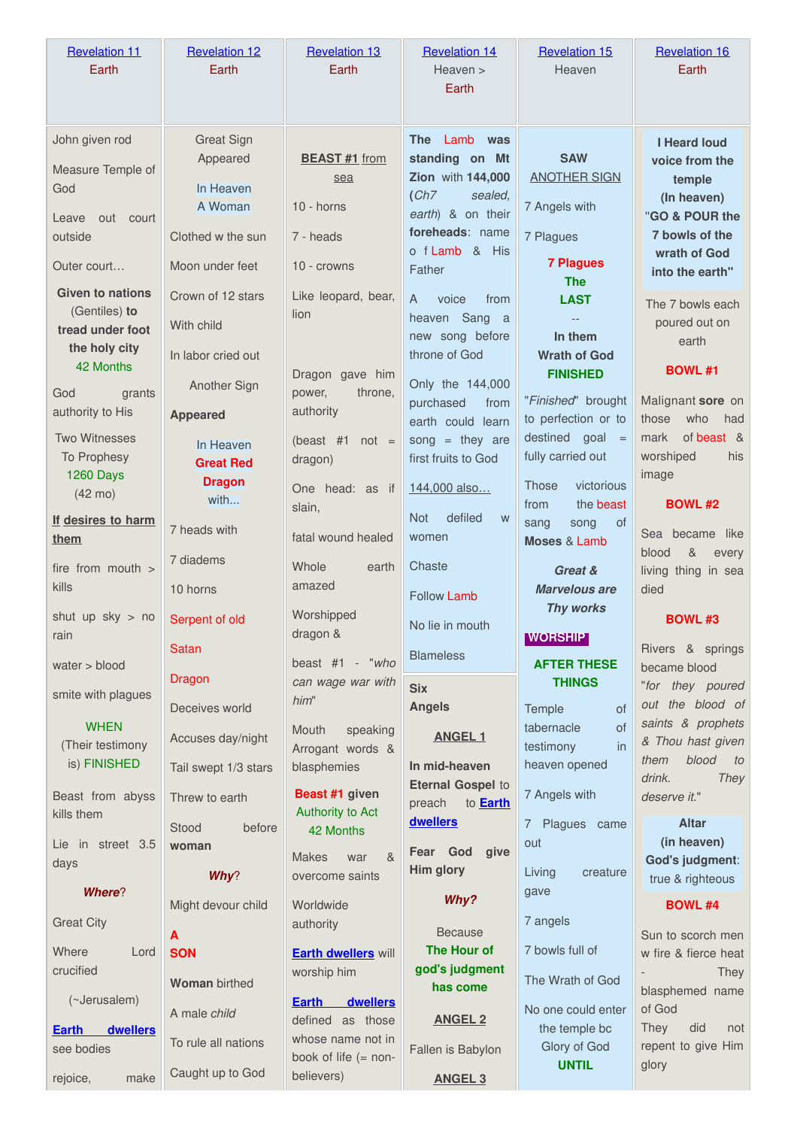| <b>Revelation 11</b><br>Earth                                                              | <b>Revelation 12</b><br>Earth                                                                 | <b>Revelation 13</b><br>Earth                                                             | <b>Revelation 14</b><br>Heaven ><br>Earth                                                                                                                | <b>Revelation 15</b><br>Heaven                                                                                       | <b>Revelation 16</b><br>Earth                                                                                                         |
|--------------------------------------------------------------------------------------------|-----------------------------------------------------------------------------------------------|-------------------------------------------------------------------------------------------|----------------------------------------------------------------------------------------------------------------------------------------------------------|----------------------------------------------------------------------------------------------------------------------|---------------------------------------------------------------------------------------------------------------------------------------|
| John given rod<br>Measure Temple of<br>God<br>out court<br>Leave<br>outside<br>Outer court | <b>Great Sign</b><br>Appeared<br>In Heaven<br>A Woman<br>Clothed w the sun<br>Moon under feet | <b>BEAST #1</b> from<br>sea<br>$10 -$ horns<br>7 - heads<br>10 - crowns                   | <b>The</b><br>Lamb<br>was<br>standing on Mt<br>Zion with 144,000<br>(Ch7)<br>sealed.<br>earth) & on their<br>foreheads: name<br>o f Lamb & His<br>Father | <b>SAW</b><br><b>ANOTHER SIGN</b><br>7 Angels with<br>7 Plagues<br><b>7 Plagues</b><br><b>The</b>                    | <b>I Heard loud</b><br>voice from the<br>temple<br>(In heaven)<br>"GO & POUR the<br>7 bowls of the<br>wrath of God<br>into the earth" |
| <b>Given to nations</b><br>(Gentiles) to<br>tread under foot<br>the holy city<br>42 Months | Crown of 12 stars<br>With child<br>In labor cried out<br>Another Sign                         | Like leopard, bear,<br>lion<br>Dragon gave him                                            | $\mathsf{A}$<br>voice<br>from<br>heaven Sang<br><sub>a</sub><br>new song before<br>throne of God<br>Only the 144,000                                     | <b>LAST</b><br>In them<br><b>Wrath of God</b><br><b>FINISHED</b>                                                     | The 7 bowls each<br>poured out on<br>earth<br><b>BOWL #1</b>                                                                          |
| God<br>grants<br>authority to His<br><b>Two Witnesses</b><br>To Prophesy<br>1260 Days      | <b>Appeared</b><br>In Heaven<br><b>Great Red</b><br><b>Dragon</b>                             | power,<br>throne,<br>authority<br>(beast $#1$<br>$not =$<br>dragon)<br>One head: as if    | purchased<br>from<br>earth could learn<br>song = they are<br>first fruits to God<br>144,000 also                                                         | "Finished" brought<br>to perfection or to<br>destined goal<br>$=$<br>fully carried out<br>victorious<br><b>Those</b> | Malignant sore on<br>who<br>those<br>had<br>of beast &<br>mark<br>worshiped<br>his<br>image                                           |
| $(42 \text{ mo})$<br>If desires to harm<br>them                                            | with<br>7 heads with<br>7 diadems                                                             | slain,<br>fatal wound healed<br>Whole<br>earth                                            | defiled<br><b>Not</b><br>W<br>women<br>Chaste                                                                                                            | the beast<br>from<br>sang<br>song<br>0f<br>Moses & Lamb                                                              | <b>BOWL #2</b><br>Sea became<br>like<br>$\&$<br>blood<br>every                                                                        |
| fire from mouth ><br>kills<br>shut up $sky$ > no<br>rain                                   | 10 horns<br>Serpent of old                                                                    | amazed<br>Worshipped<br>dragon &                                                          | <b>Follow Lamb</b><br>No lie in mouth                                                                                                                    | Great &<br><b>Marvelous are</b><br><b>Thy works</b><br><b>WORSHIP</b>                                                | living thing in sea<br>died<br><b>BOWL #3</b>                                                                                         |
| water > blood                                                                              | <b>Satan</b>                                                                                  |                                                                                           | <b>Blameless</b>                                                                                                                                         |                                                                                                                      |                                                                                                                                       |
| smite with plagues                                                                         | Dragon<br>Deceives world                                                                      | beast #1 - "who<br>can wage war with<br>him"                                              | <b>Six</b><br><b>Angels</b>                                                                                                                              | <b>AFTER THESE</b><br><b>THINGS</b><br>of<br>Temple                                                                  | Rivers & springs<br>became blood<br>"for they poured<br>out the blood of                                                              |
| <b>WHEN</b><br>(Their testimony<br>is) FINISHED                                            | Accuses day/night<br>Tail swept 1/3 stars                                                     | speaking<br>Mouth<br>Arrogant words &<br>blasphemies                                      | <b>ANGEL 1</b><br>In mid-heaven<br><b>Eternal Gospel to</b>                                                                                              | tabernacle<br>of<br>testimony<br><i>in</i><br>heaven opened                                                          | saints & prophets<br>& Thou hast given<br>blood<br>them<br>to<br>drink.<br><b>They</b>                                                |
| Beast from abyss<br>kills them<br>Lie in street 3.5                                        | Threw to earth<br>before<br>Stood<br>woman                                                    | Beast #1 given<br>Authority to Act<br>42 Months<br><b>Makes</b><br>$\alpha$<br>war        | preach<br>to <b>Earth</b><br>dwellers<br>Fear God give                                                                                                   | 7 Angels with<br>7 Plagues came<br>out                                                                               | deserve it."<br><b>Altar</b><br>(in heaven)<br>God's judgment:                                                                        |
| days<br><b>Where?</b><br><b>Great City</b>                                                 | Why?<br>Might devour child                                                                    | overcome saints<br>Worldwide                                                              | Him glory<br>Why?                                                                                                                                        | creature<br>Living<br>gave<br>7 angels                                                                               | true & righteous<br><b>BOWL #4</b>                                                                                                    |
| Where<br>Lord<br>crucified                                                                 | A<br><b>SON</b><br><b>Woman birthed</b>                                                       | authority<br><b>Earth dwellers will</b><br>worship him                                    | <b>Because</b><br>The Hour of<br>god's judgment<br>has come                                                                                              | 7 bowls full of<br>The Wrath of God                                                                                  | Sun to scorch men<br>w fire & fierce heat<br>They<br>blasphemed name                                                                  |
| (~Jerusalem)<br><b>Earth</b><br>dwellers<br>see bodies                                     | A male child<br>To rule all nations<br>Caught up to God                                       | dwellers<br><b>Earth</b><br>defined as those<br>whose name not in<br>book of life (= non- | <b>ANGEL 2</b><br>Fallen is Babylon                                                                                                                      | No one could enter<br>the temple bc<br>Glory of God<br><b>UNTIL</b>                                                  | of God<br>did<br><b>They</b><br>not<br>repent to give Him<br>glory                                                                    |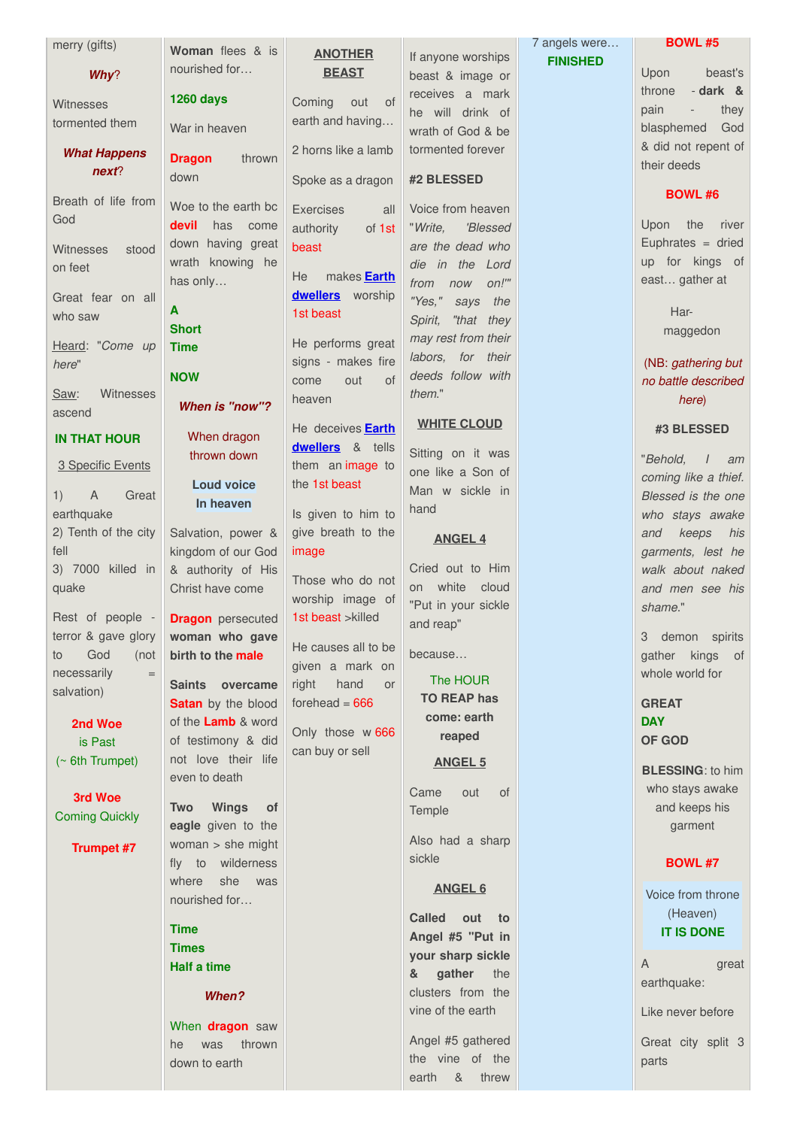| merry (gifts)                  | Woman flees & is                        | <b>ANOTHER</b>                       |                                        | 7 angels were   | <b>BOWL #5</b>                              |
|--------------------------------|-----------------------------------------|--------------------------------------|----------------------------------------|-----------------|---------------------------------------------|
| Why?                           | nourished for                           | <b>BEAST</b>                         | If anyone worships                     | <b>FINISHED</b> | Upon<br>beast's                             |
|                                |                                         |                                      | beast & image or<br>receives a mark    |                 | - dark &<br>throne                          |
| Witnesses                      | <b>1260 days</b>                        | of<br>Coming<br>out                  | he will drink of                       |                 | pain<br>they<br>$\overline{\phantom{a}}$    |
| tormented them                 | War in heaven                           | earth and having                     | wrath of God & be                      |                 | blasphemed<br>God                           |
| <b>What Happens</b>            | <b>Dragon</b><br>thrown                 | 2 horns like a lamb                  | tormented forever                      |                 | & did not repent of                         |
| next?                          | down                                    | Spoke as a dragon                    | #2 BLESSED                             |                 | their deeds                                 |
| Breath of life from            |                                         |                                      |                                        |                 | <b>BOWL #6</b>                              |
| God                            | Woe to the earth bc                     | <b>Exercises</b><br>all              | Voice from heaven                      |                 |                                             |
|                                | devil<br>has<br>come                    | authority<br>of 1st                  | 'Blessed<br>"Write.                    |                 | Upon<br>the<br>river<br>Euphrates $=$ dried |
| <b>Witnesses</b><br>stood      | down having great<br>wrath knowing he   | beast                                | are the dead who<br>die in the Lord    |                 | up for kings of                             |
| on feet                        | has only                                | makes <b>Earth</b><br>He             | $on!$ "<br>from<br>now                 |                 | east gather at                              |
| Great fear on all              |                                         | dwellers worship                     | "Yes,"<br>the<br>says                  |                 |                                             |
| who saw                        | A                                       | 1st beast                            | Spirit,<br>"that they                  |                 | Har-                                        |
| Heard: "Come up                | <b>Short</b><br><b>Time</b>             | He performs great                    | may rest from their                    |                 | maggedon                                    |
| here"                          |                                         | signs - makes fire                   | labors, for their                      |                 | (NB: gathering but                          |
|                                | <b>NOW</b>                              | out<br>of<br>come                    | deeds follow with                      |                 | no battle described                         |
| Witnesses<br>Saw:              | <b>When is "now"?</b>                   | heaven                               | them."                                 |                 | here)                                       |
| ascend                         |                                         | He deceives <b>Earth</b>             | <b>WHITE CLOUD</b>                     |                 | #3 BLESSED                                  |
| <b>IN THAT HOUR</b>            | When dragon                             | dwellers & tells                     |                                        |                 |                                             |
| 3 Specific Events              | thrown down                             | them an image to                     | Sitting on it was<br>one like a Son of |                 | "Behold,<br>$\frac{1}{2}$<br>am             |
|                                | <b>Loud voice</b>                       | the 1st beast                        | Man w sickle in                        |                 | coming like a thief.                        |
| A<br>Great<br>1)<br>earthquake | In heaven                               | Is given to him to                   | hand                                   |                 | Blessed is the one<br>who stays awake       |
| 2) Tenth of the city           | Salvation, power &                      | give breath to the                   |                                        |                 | and<br>keeps<br>his                         |
| fell                           | kingdom of our God                      | image                                | <b>ANGEL 4</b>                         |                 | garments, lest he                           |
| 3) 7000 killed in              | & authority of His                      |                                      | Cried out to Him                       |                 | walk about naked                            |
| quake                          | Christ have come                        | Those who do not<br>worship image of | white<br>cloud<br>on                   |                 | and men see his                             |
| Rest of people -               | <b>Dragon</b> persecuted                | 1st beast >killed                    | "Put in your sickle                    |                 | shame."                                     |
| terror & gave glory            | woman who gave                          |                                      | and reap"                              |                 | 3 demon spirits                             |
| God<br>(not<br>to              | birth to the male                       | He causes all to be                  | because                                |                 | gather kings of                             |
| necessarily<br>$=$             |                                         | given a mark on<br>hand              | The HOUR                               |                 | whole world for                             |
| salvation)                     | Saints overcame<br>Satan by the blood   | right<br>or<br>forehead $= 666$      | <b>TO REAP has</b>                     |                 | <b>GREAT</b>                                |
| 2nd Woe                        | of the <b>Lamb</b> & word               |                                      | come: earth                            |                 | <b>DAY</b>                                  |
| is Past                        | of testimony & did                      | Only those w 666                     | reaped                                 |                 | <b>OF GOD</b>                               |
| $($ 6th Trumpet)               | not love their life                     | can buy or sell                      | <b>ANGEL 5</b>                         |                 |                                             |
|                                | even to death                           |                                      |                                        |                 | <b>BLESSING: to him</b><br>who stays awake  |
| 3rd Woe                        | <b>Wings</b><br><b>Two</b><br><b>of</b> |                                      | <b>of</b><br>Came<br>out               |                 | and keeps his                               |
| <b>Coming Quickly</b>          | eagle given to the                      |                                      | Temple                                 |                 | garment                                     |
| Trumnet #7                     | woman > she might                       |                                      | Also had a sharp                       |                 |                                             |

sickle

**ANGEL 6**

**Called out to Angel #5 ''Put in your sharp sickle & gather** the clusters from the vine of the earth

Angel #5 gathered the vine of the earth & threw

**Trumpet #7**

fly to wilderness where she was nourished for…

*When?*

When **dragon** saw he was thrown down to earth

**Time Times Half a time**

# **BOWL #7**

Voice from throne (Heaven) **IT IS DONE**

A great earthquake:

Like never before

Great city split 3 parts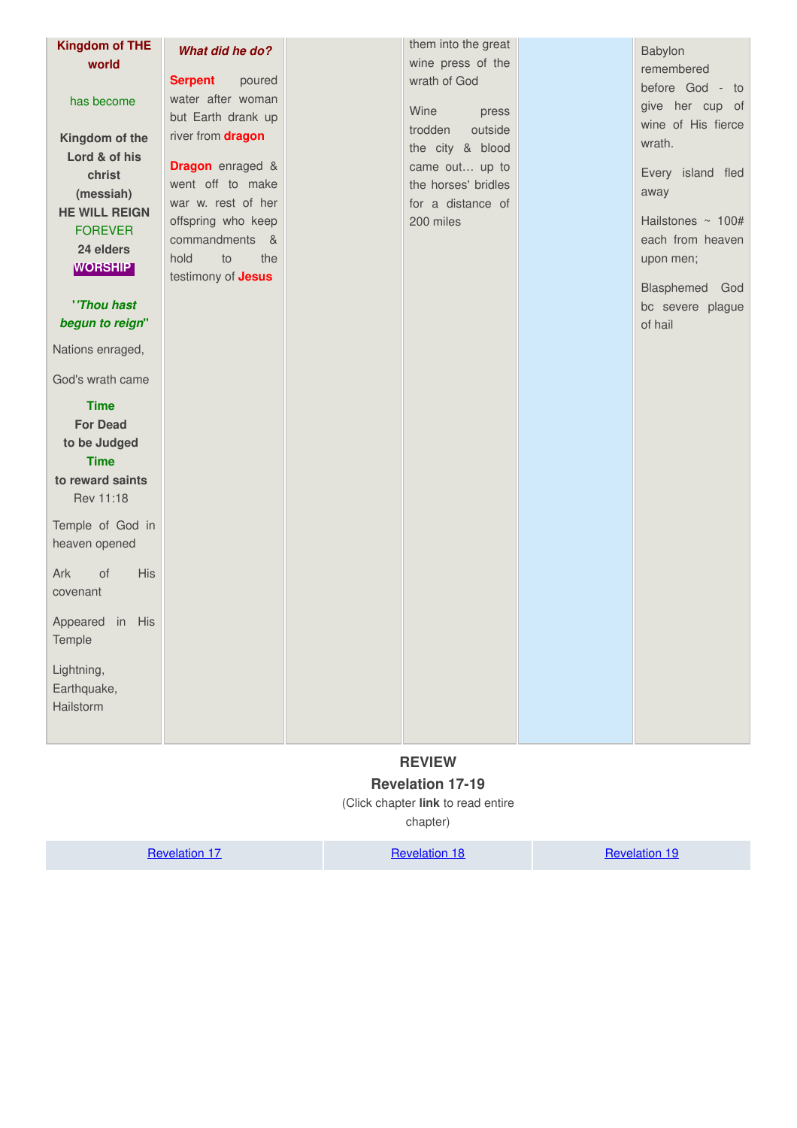| <b>Kingdom of THE</b><br>world<br>has become<br>Kingdom of the<br>Lord & of his<br>christ<br>(messiah)<br><b>HE WILL REIGN</b><br><b>FOREVER</b><br>24 elders<br><b>WORSHIP</b><br>"Thou hast<br>begun to reign" | What did he do?<br><b>Serpent</b><br>poured<br>water after woman<br>but Earth drank up<br>river from dragon<br><b>Dragon</b> enraged &<br>went off to make<br>war w. rest of her<br>offspring who keep<br>commandments<br>&<br>hold<br>to<br>the<br>testimony of <b>Jesus</b> | them into the great<br>wine press of the<br>wrath of God<br>Wine<br>press<br>trodden<br>outside<br>the city & blood<br>came out up to<br>the horses' bridles<br>for a distance of<br>200 miles | Babylon<br>remembered<br>before God - to<br>give her cup of<br>wine of His fierce<br>wrath.<br>Every island fled<br>away<br>Hailstones ~ 100#<br>each from heaven<br>upon men;<br>Blasphemed God<br>bc severe plague<br>of hail |
|------------------------------------------------------------------------------------------------------------------------------------------------------------------------------------------------------------------|-------------------------------------------------------------------------------------------------------------------------------------------------------------------------------------------------------------------------------------------------------------------------------|------------------------------------------------------------------------------------------------------------------------------------------------------------------------------------------------|---------------------------------------------------------------------------------------------------------------------------------------------------------------------------------------------------------------------------------|
| Nations enraged,                                                                                                                                                                                                 |                                                                                                                                                                                                                                                                               |                                                                                                                                                                                                |                                                                                                                                                                                                                                 |
| God's wrath came                                                                                                                                                                                                 |                                                                                                                                                                                                                                                                               |                                                                                                                                                                                                |                                                                                                                                                                                                                                 |
| <b>Time</b><br><b>For Dead</b><br>to be Judged<br><b>Time</b><br>to reward saints<br>Rev 11:18<br>Temple of God in                                                                                               |                                                                                                                                                                                                                                                                               |                                                                                                                                                                                                |                                                                                                                                                                                                                                 |
| heaven opened                                                                                                                                                                                                    |                                                                                                                                                                                                                                                                               |                                                                                                                                                                                                |                                                                                                                                                                                                                                 |
| <b>His</b><br>Ark<br>of<br>covenant                                                                                                                                                                              |                                                                                                                                                                                                                                                                               |                                                                                                                                                                                                |                                                                                                                                                                                                                                 |
| Appeared in His<br>Temple                                                                                                                                                                                        |                                                                                                                                                                                                                                                                               |                                                                                                                                                                                                |                                                                                                                                                                                                                                 |
| Lightning,<br>Earthquake,<br>Hailstorm                                                                                                                                                                           |                                                                                                                                                                                                                                                                               |                                                                                                                                                                                                |                                                                                                                                                                                                                                 |

# **REVIEW**

# <span id="page-6-0"></span>**Revelation 17-19**

(Click chapter **link** to read entire

chapter)

[Revelation](http://studylight.org/desk/?query=rev+19) 17 Revelation 18 Revelation 18 Revelation 19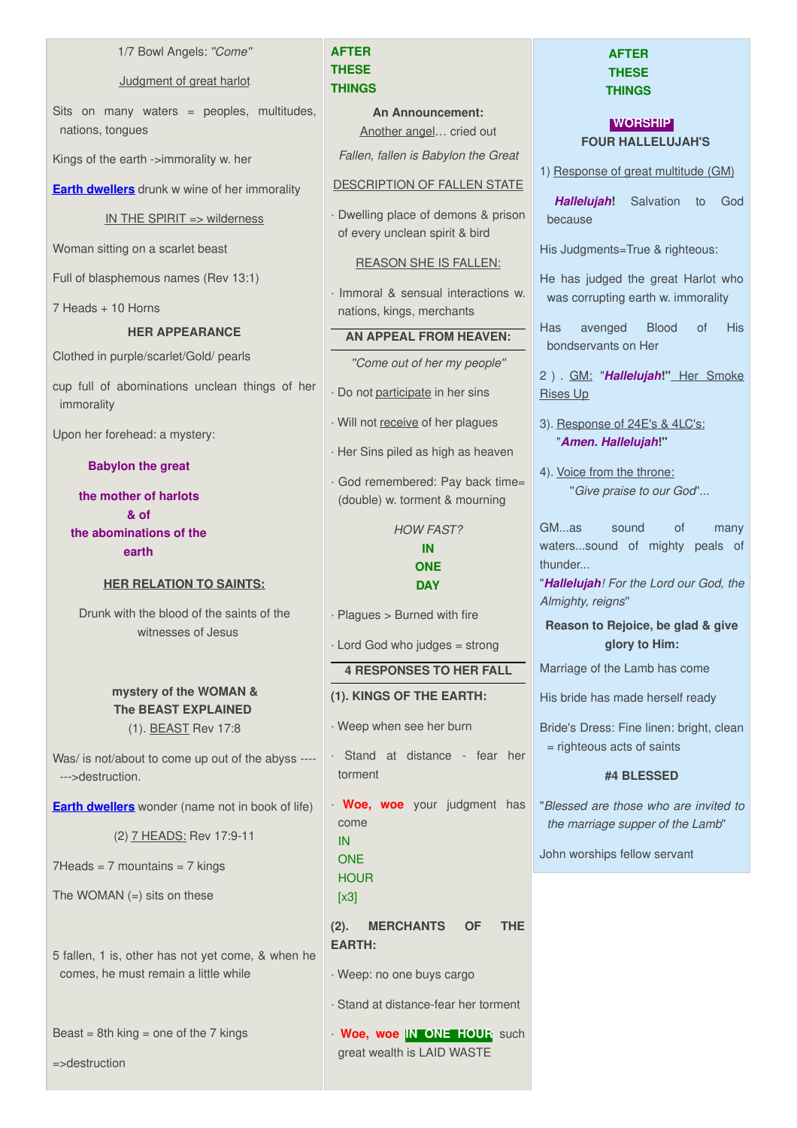#### 1/7 Bowl Angels: *''Come''*

#### Judgment of great harlot

Sits on many waters = peoples, multitudes, nations, tongues

Kings of the earth ->immorality w. her

**Earth [dwellers](http://www.spiritandtruth.org/teaching/Book_of_Revelation/commentary/htm/topics/book_of_life.html#4.4.3.4)** drunk w wine of her immorality

IN THE SPIRIT => wilderness

Woman sitting on a scarlet beast

Full of blasphemous names (Rev 13:1)

7 Heads + 10 Horns

# **HER APPEARANCE**

Clothed in purple/scarlet/Gold/ pearls

cup full of abominations unclean things of her immorality

Upon her forehead: a mystery:

#### **Babylon the great**

**the mother of harlots & of the abominations of the earth**

#### **HER RELATION TO SAINTS:**

Drunk with the blood of the saints of the witnesses of Jesus

# **mystery of the WOMAN & The BEAST EXPLAINED** (1). BEAST Rev 17:8

Was/ is not/about to come up out of the abyss ---- --->destruction.

**Earth [dwellers](http://www.spiritandtruth.org/teaching/Book_of_Revelation/commentary/htm/topics/book_of_life.html#4.4.3.4)** wonder (name not in book of life)

(2) 7 HEADS: Rev 17:9-11

 $7Heads = 7$  mountains =  $7$  kings

The WOMAN  $(=)$  sits on these

5 fallen, 1 is, other has not yet come, & when he comes, he must remain a little while

Beast =  $8th$  king = one of the 7 kings

=>destruction

# **AFTER THESE THINGS**

**An Announcement:** Another angel… cried out

*Fallen, fallen is Babylon the Great*

## DESCRIPTION OF FALLEN STATE

· Dwelling place of demons & prison of every unclean spirit & bird

REASON SHE IS FALLEN:

· Immoral & sensual interactions w. nations, kings, merchants

#### **AN APPEAL FROM HEAVEN:**

*''Come out of her my people''*

· Do not participate in her sins

· Will not receive of her plagues

· Her Sins piled as high as heaven

· God remembered: Pay back time= (double) w. torment & mourning

> *HOW FAST?* **IN ONE DAY**

· Plagues > Burned with fire

· Lord God who judges = strong

# **4 RESPONSES TO HER FALL**

# **(1). KINGS OF THE EARTH:**

- · Weep when see her burn
- · Stand at distance fear her torment
- · **Woe, woe** your judgment has come IN

**ONE HOUR** 

 $[x3]$ 

**(2). MERCHANTS OF THE EARTH:**

· Weep: no one buys cargo

· Stand at distance-fear her torment

· **Woe, woe IN ONE HOUR** such great wealth is LAID WASTE

# **AFTER THESE THINGS**

# **WORSHIP FOUR HALLELUJAH'S**

1) Response of great multitude (GM)

*Hallelujah***!** Salvation to God because

His Judgments=True & righteous:

He has judged the great Harlot who was corrupting earth w. immorality

Has avenged Blood of His bondservants on Her

2 ) . GM: "*Hallelujah***!"** Her Smoke Rises Up

- 3). Response of 24E's & 4LC's: "*Amen. Hallelujah***!"**
- 4). Voice from the throne: ''*Give praise to our God*''...

GM...as sound of many waters...sound of mighty peals of thunder...

"*Hallelujah! For the Lord our God, the Almighty, reigns*''

**Reason to Rejoice, be glad & give glory to Him:**

Marriage of the Lamb has come

His bride has made herself ready

Bride's Dress: Fine linen: bright, clean = righteous acts of saints

# **#4 BLESSED**

"*Blessed are those who are invited to the marriage supper of the Lamb*"

John worships fellow servant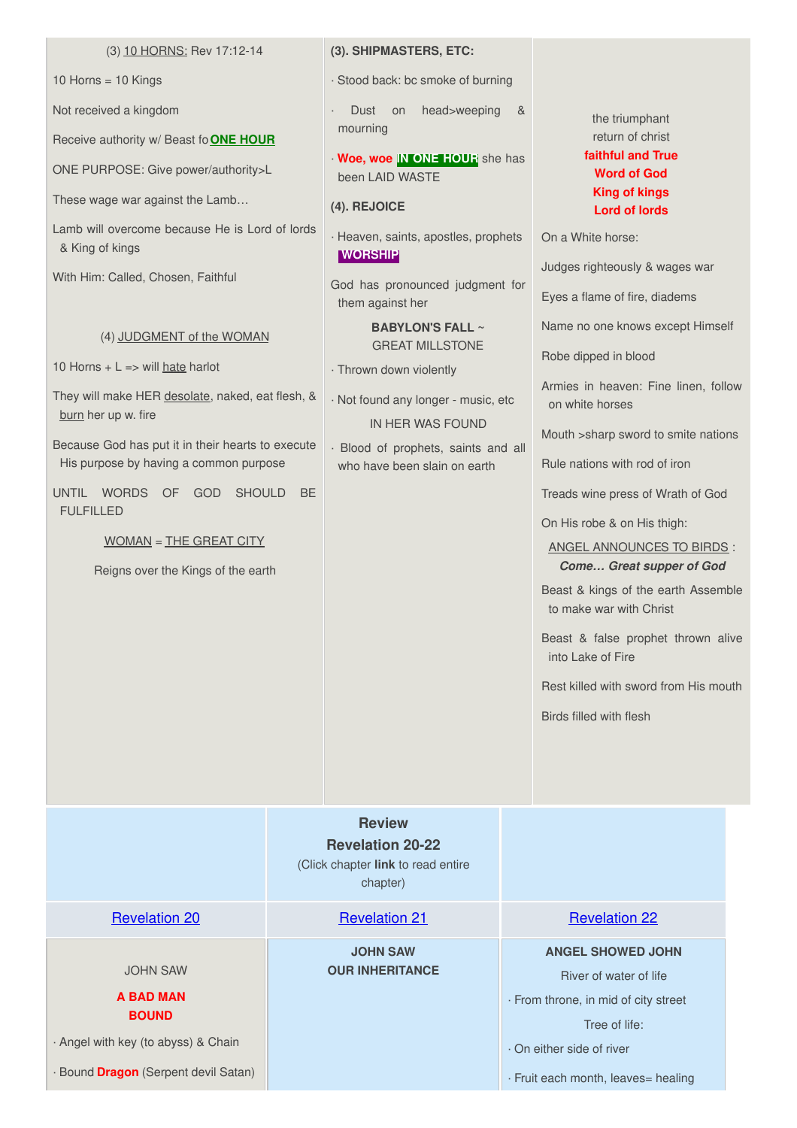#### (3) 10 HORNS: Rev 17:12-14

10 Horns = 10 Kings

Not received a kingdom

Receive authority w/ Beast fo**ONE HOUR**

ONE PURPOSE: Give power/authority>L

These wage war against the Lamb…

Lamb will overcome because He is Lord of lords & King of kings

With Him: Called, Chosen, Faithful

#### (4) JUDGMENT of the WOMAN

10 Horns  $+ L = >$  will hate harlot

They will make HER desolate, naked, eat flesh, & burn her up w. fire

Because God has put it in their hearts to execute His purpose by having a common purpose

UNTIL WORDS OF GOD SHOULD BE FULFILLED.

WOMAN = THE GREAT CITY

Reigns over the Kings of the earth

#### **(3). SHIPMASTERS, ETC:**

· Stood back: bc smoke of burning

Dust on head>weeping & mourning

· **Woe, woe IN ONE HOUR** she has been LAID WASTE

**(4). REJOICE**

· Heaven, saints, apostles, prophets **WORSHIP**

God has pronounced judgment for them against her

> **BABYLON'S FALL ~** GREAT MILLSTONE

· Thrown down violently

· Not found any longer - music, etc IN HER WAS FOUND

· Blood of prophets, saints and all who have been slain on earth

# the triumphant return of christ **faithful and True Word of God King of kings Lord of lords**

On a White horse:

Judges righteously & wages war

Eyes a flame of fire, diadems

Name no one knows except Himself

Robe dipped in blood

Armies in heaven: Fine linen, follow on white horses

Mouth >sharp sword to smite nations

Rule nations with rod of iron

Treads wine press of Wrath of God

On His robe & on His thigh:

ANGEL ANNOUNCES TO BIRDS : *Come… Great supper of God*

Beast & kings of the earth Assemble to make war with Christ

Beast & false prophet thrown alive into Lake of Fire

Rest killed with sword from His mouth

Birds filled with flesh

<span id="page-8-0"></span>

|                                                     | <b>Review</b><br><b>Revelation 20-22</b><br>(Click chapter link to read entire<br>chapter) |                                                                                                             |
|-----------------------------------------------------|--------------------------------------------------------------------------------------------|-------------------------------------------------------------------------------------------------------------|
| <b>Revelation 20</b>                                | <b>Revelation 21</b>                                                                       | <b>Revelation 22</b>                                                                                        |
| <b>JOHN SAW</b><br><b>A BAD MAN</b><br><b>BOUND</b> | <b>JOHN SAW</b><br><b>OUR INHERITANCE</b>                                                  | <b>ANGEL SHOWED JOHN</b><br>River of water of life<br>· From throne, in mid of city street<br>Tree of life: |
| · Angel with key (to abyss) & Chain                 |                                                                                            | On either side of river                                                                                     |
| · Bound <b>Dragon</b> (Serpent devil Satan)         |                                                                                            | · Fruit each month, leaves= healing                                                                         |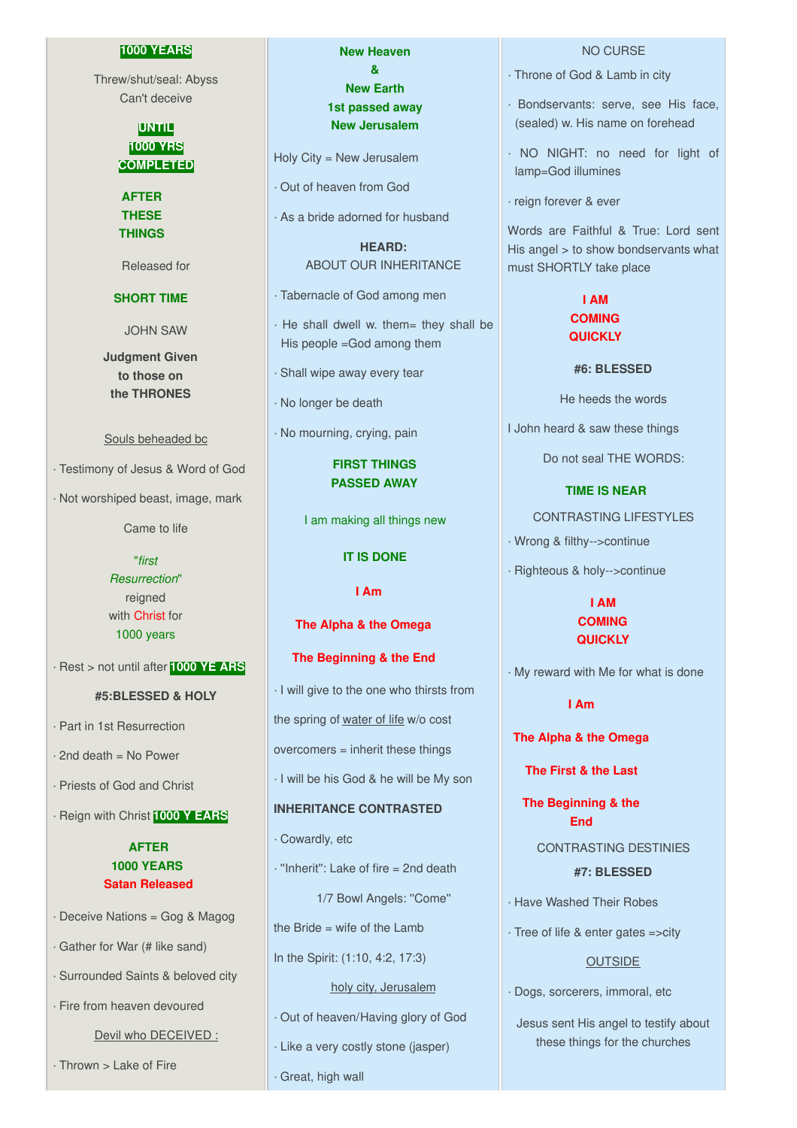#### **1000 YEARS**

Threw/shut/seal: Abyss Can't deceive

> **UNTIL 1000 YRS COMPLETED**

**AFTER THESE THINGS**

Released for

# **SHORT TIME**

JOHN SAW

**Judgment Given to those on the THRONES**

#### Souls beheaded bc

· Testimony of Jesus & Word of God

· Not worshiped beast, image, mark

Came to life

"*first Resurrection*" reigned with Christ for 1000 years

· Rest > not until after **1000 YE ARS**

#### **#5:BLESSED & HOLY**

· Part in 1st Resurrection

 $\cdot$  2nd death = No Power

· Priests of God and Christ

· Reign with Christ **1000 Y EARS**

# **AFTER 1000 YEARS Satan Released**

· Deceive Nations = Gog & Magog

· Gather for War (# like sand)

· Surrounded Saints & beloved city

· Fire from heaven devoured

Devil who DECEIVED :

· Thrown > Lake of Fire

**New Heaven & New Earth 1st passed away New Jerusalem**

Holy City = New Jerusalem

· Out of heaven from God

· As a bride adorned for husband

**HEARD:** ABOUT OUR INHERITANCE

· Tabernacle of God among men

· He shall dwell w. them= they shall be His people =God among them

· Shall wipe away every tear

· No longer be death

· No mourning, crying, pain

**FIRST THINGS PASSED AWAY**

I am making all things new

#### **IT IS DONE**

**I Am**

**The Alpha & the Omega**

**The Beginning & the End**

· I will give to the one who thirsts from the spring of water of life w/o cost overcomers = inherit these things · I will be his God & he will be My son **INHERITANCE CONTRASTED** · Cowardly, etc

· ''Inherit'': Lake of fire = 2nd death

1/7 Bowl Angels: ''Come''

the Bride = wife of the Lamb

In the Spirit: (1:10, 4:2, 17:3)

holy city, Jerusalem

· Out of heaven/Having glory of God

· Like a very costly stone (jasper)

· Great, high wall

# NO CURSE

- · Throne of God & Lamb in city
- · Bondservants: serve, see His face, (sealed) w. His name on forehead
- · NO NIGHT: no need for light of lamp=God illumines
- · reign forever & ever

Words are Faithful & True: Lord sent His angel > to show bondservants what must SHORTLY take place

# **I AM COMING QUICKLY**

#### **#6: BLESSED**

He heeds the words

I John heard & saw these things

Do not seal THE WORDS:

#### **TIME IS NEAR**

CONTRASTING LIFESTYLES

· Wrong & filthy-->continue

· Righteous & holy-->continue

# **I AM COMING QUICKLY**

· My reward with Me for what is done

## **I Am**

**The Alpha & the Omega**

**The First & the Last**

**The Beginning & the End**

> CONTRASTING DESTINIES **#7: BLESSED**

· Have Washed Their Robes

· Tree of life & enter gates =>city

#### **OUTSIDE**

· Dogs, sorcerers, immoral, etc

Jesus sent His angel to testify about these things for the churches